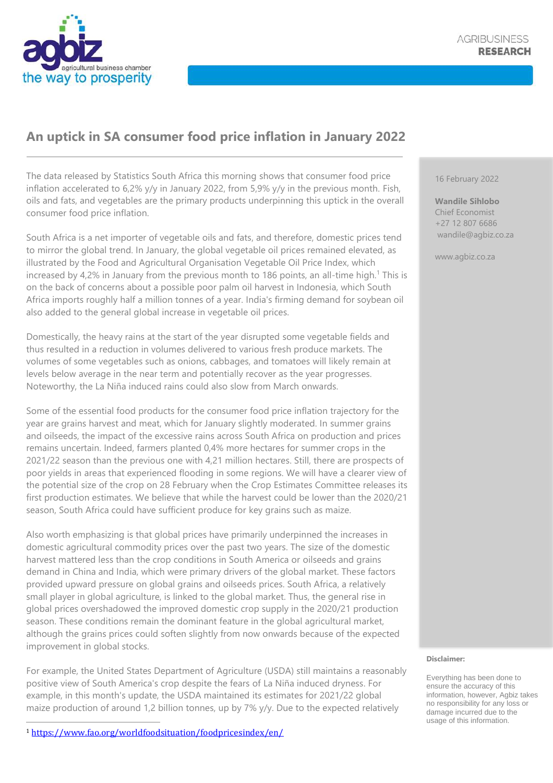

## **An uptick in SA consumer food price inflation in January 2022**

The data released by Statistics South Africa this morning shows that consumer food price inflation accelerated to 6,2% y/y in January 2022, from 5,9% y/y in the previous month. Fish, oils and fats, and vegetables are the primary products underpinning this uptick in the overall consumer food price inflation.

South Africa is a net importer of vegetable oils and fats, and therefore, domestic prices tend to mirror the global trend. In January, the global vegetable oil prices remained elevated, as illustrated by the Food and Agricultural Organisation Vegetable Oil Price Index, which increased by 4,2% in January from the previous month to 186 points, an all-time high.<sup>1</sup> This is on the back of concerns about a possible poor palm oil harvest in Indonesia, which South Africa imports roughly half a million tonnes of a year. India's firming demand for soybean oil also added to the general global increase in vegetable oil prices.

Domestically, the heavy rains at the start of the year disrupted some vegetable fields and thus resulted in a reduction in volumes delivered to various fresh produce markets. The volumes of some vegetables such as onions, cabbages, and tomatoes will likely remain at levels below average in the near term and potentially recover as the year progresses. Noteworthy, the La Niña induced rains could also slow from March onwards.

Some of the essential food products for the consumer food price inflation trajectory for the year are grains harvest and meat, which for January slightly moderated. In summer grains and oilseeds, the impact of the excessive rains across South Africa on production and prices remains uncertain. Indeed, farmers planted 0,4% more hectares for summer crops in the 2021/22 season than the previous one with 4,21 million hectares. Still, there are prospects of poor yields in areas that experienced flooding in some regions. We will have a clearer view of the potential size of the crop on 28 February when the Crop Estimates Committee releases its first production estimates. We believe that while the harvest could be lower than the 2020/21 season, South Africa could have sufficient produce for key grains such as maize.

Also worth emphasizing is that global prices have primarily underpinned the increases in domestic agricultural commodity prices over the past two years. The size of the domestic harvest mattered less than the crop conditions in South America or oilseeds and grains demand in China and India, which were primary drivers of the global market. These factors provided upward pressure on global grains and oilseeds prices. South Africa, a relatively small player in global agriculture, is linked to the global market. Thus, the general rise in global prices overshadowed the improved domestic crop supply in the 2020/21 production season. These conditions remain the dominant feature in the global agricultural market, although the grains prices could soften slightly from now onwards because of the expected improvement in global stocks.

For example, the United States Department of Agriculture (USDA) still maintains a reasonably positive view of South America's crop despite the fears of La Niña induced dryness. For example, in this month's update, the USDA maintained its estimates for 2021/22 global maize production of around 1,2 billion tonnes, up by 7% y/y. Due to the expected relatively

<sup>1</sup> <https://www.fao.org/worldfoodsituation/foodpricesindex/en/>

16 February 2022

**Wandile Sihlobo** Chief Economist +27 12 807 6686 wandile@agbiz.co.za

www.agbiz.co.za

## **Disclaimer:**

Everything has been done to ensure the accuracy of this information, however, Agbiz takes no responsibility for any loss or damage incurred due to the usage of this information.